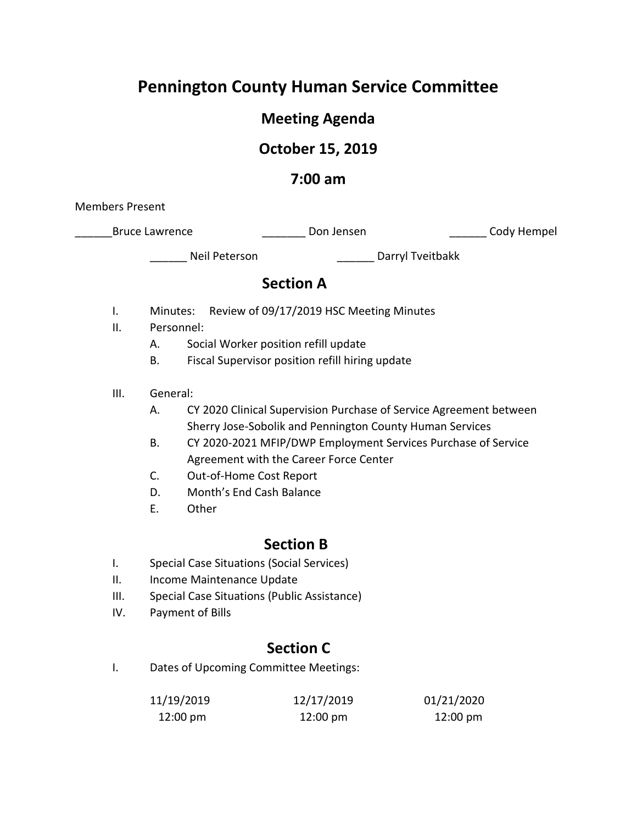# **Pennington County Human Service Committee**

# **Meeting Agenda**

# **October 15, 2019**

### **7:00 am**

Members Present

| <b>Bruce Lawrence</b> | Don Jensen | Cody Hempel |
|-----------------------|------------|-------------|
|-----------------------|------------|-------------|

Neil Peterson and Darryl Tveitbakk

# **Section A**

- I. Minutes: Review of 09/17/2019 HSC Meeting Minutes
- II. Personnel:
	- A. Social Worker position refill update
	- B. Fiscal Supervisor position refill hiring update
- III. General:
	- A. CY 2020 Clinical Supervision Purchase of Service Agreement between Sherry Jose-Sobolik and Pennington County Human Services
	- B. CY 2020-2021 MFIP/DWP Employment Services Purchase of Service Agreement with the Career Force Center
	- C. Out-of-Home Cost Report
	- D. Month's End Cash Balance
	- E. Other

## **Section B**

- I. Special Case Situations (Social Services)
- II. Income Maintenance Update
- III. Special Case Situations (Public Assistance)
- IV. Payment of Bills

# **Section C**

I. Dates of Upcoming Committee Meetings:

| 11/19/2019         | 12/17/2019         | 01/21/2020         |
|--------------------|--------------------|--------------------|
| $12:00 \text{ pm}$ | $12:00 \text{ pm}$ | $12:00 \text{ pm}$ |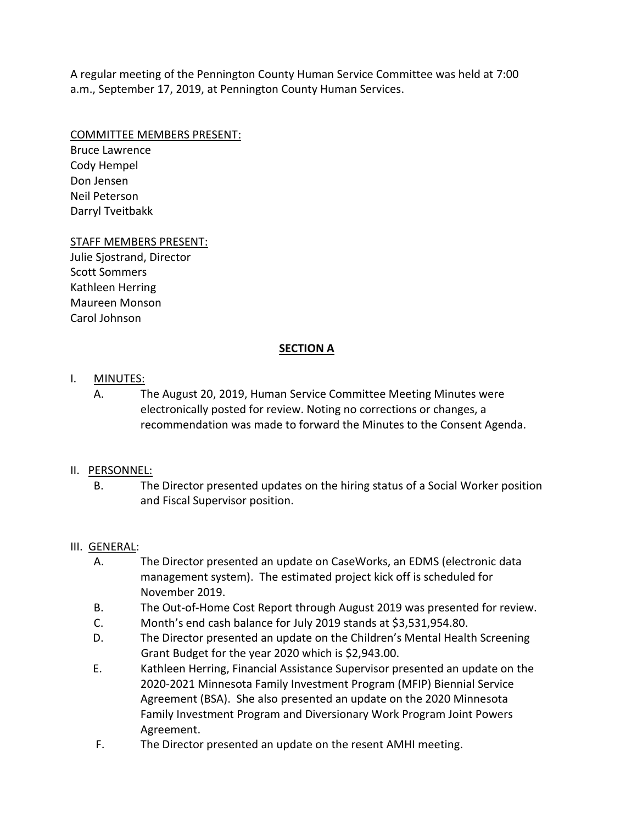A regular meeting of the Pennington County Human Service Committee was held at 7:00 a.m., September 17, 2019, at Pennington County Human Services.

#### COMMITTEE MEMBERS PRESENT:

Bruce Lawrence Cody Hempel Don Jensen Neil Peterson Darryl Tveitbakk

### STAFF MEMBERS PRESENT:

Julie Sjostrand, Director Scott Sommers Kathleen Herring Maureen Monson Carol Johnson

### **SECTION A**

### I. MINUTES:

A. The August 20, 2019, Human Service Committee Meeting Minutes were electronically posted for review. Noting no corrections or changes, a recommendation was made to forward the Minutes to the Consent Agenda.

### II. PERSONNEL:

B. The Director presented updates on the hiring status of a Social Worker position and Fiscal Supervisor position.

### III. GENERAL:

- A. The Director presented an update on CaseWorks, an EDMS (electronic data management system). The estimated project kick off is scheduled for November 2019.
- B. The Out-of-Home Cost Report through August 2019 was presented for review.
- C. Month's end cash balance for July 2019 stands at \$3,531,954.80.
- D. The Director presented an update on the Children's Mental Health Screening Grant Budget for the year 2020 which is \$2,943.00.
- E. Kathleen Herring, Financial Assistance Supervisor presented an update on the 2020-2021 Minnesota Family Investment Program (MFIP) Biennial Service Agreement (BSA). She also presented an update on the 2020 Minnesota Family Investment Program and Diversionary Work Program Joint Powers Agreement.
- F. The Director presented an update on the resent AMHI meeting.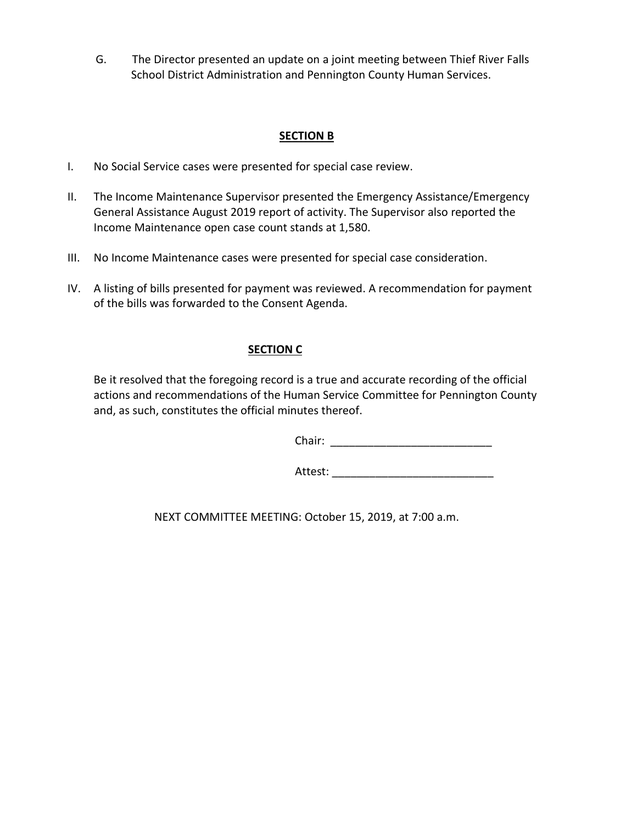G. The Director presented an update on a joint meeting between Thief River Falls School District Administration and Pennington County Human Services.

### **SECTION B**

- I. No Social Service cases were presented for special case review.
- II. The Income Maintenance Supervisor presented the Emergency Assistance/Emergency General Assistance August 2019 report of activity. The Supervisor also reported the Income Maintenance open case count stands at 1,580.
- III. No Income Maintenance cases were presented for special case consideration.
- IV. A listing of bills presented for payment was reviewed. A recommendation for payment of the bills was forwarded to the Consent Agenda.

### **SECTION C**

Be it resolved that the foregoing record is a true and accurate recording of the official actions and recommendations of the Human Service Committee for Pennington County and, as such, constitutes the official minutes thereof.

Chair: \_\_\_\_\_\_\_\_\_\_\_\_\_\_\_\_\_\_\_\_\_\_\_\_\_\_

Attest: \_\_\_\_\_\_\_\_\_\_\_\_\_\_\_\_\_\_\_\_\_\_\_\_\_\_

NEXT COMMITTEE MEETING: October 15, 2019, at 7:00 a.m.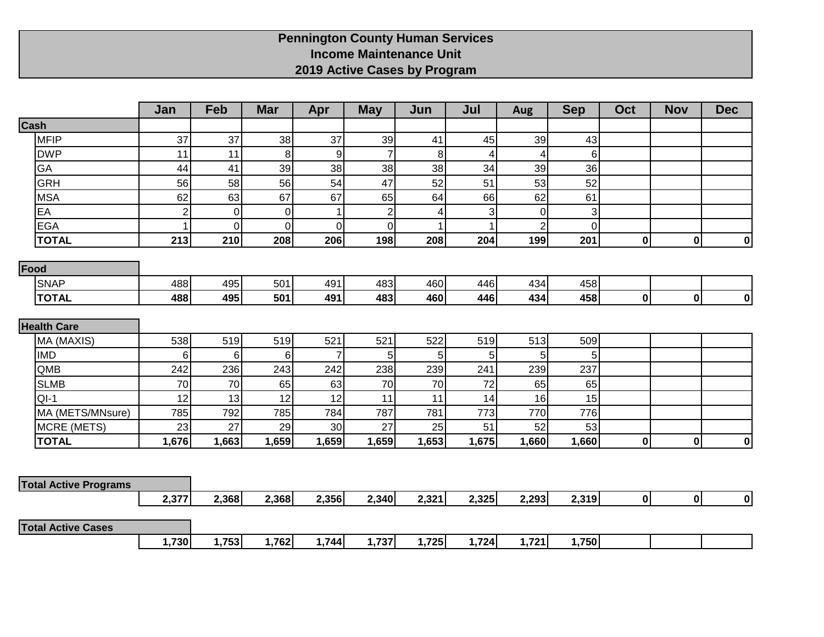### **Pennington County Human Services Income Maintenance Unit 2019 Active Cases by Program**

|                              | Jan            | Feb   | <b>Mar</b>  | Apr            | <b>May</b>     | Jun   | Jul          | <b>Aug</b>     | <b>Sep</b>  | Oct          | <b>Nov</b>  | <b>Dec</b> |
|------------------------------|----------------|-------|-------------|----------------|----------------|-------|--------------|----------------|-------------|--------------|-------------|------------|
| Cash                         |                |       |             |                |                |       |              |                |             |              |             |            |
| <b>MFIP</b>                  | 37             | 37    | 38          | 37             | 39             | 41    | 45           | 39             | 43          |              |             |            |
| <b>DWP</b>                   | 11             | 11    | 8           | 9              | $\overline{7}$ | 8     | 4            | 4              | $\,6$       |              |             |            |
| GA                           | 44             | 41    | 39          | 38             | 38             | 38    | 34           | 39             | 36          |              |             |            |
| <b>GRH</b>                   | 56             | 58    | 56          | 54             | 47             | 52    | 51           | 53             | 52          |              |             |            |
| <b>MSA</b>                   | 62             | 63    | 67          | 67             | 65             | 64    | 66           | 62             | 61          |              |             |            |
| EA                           | $\overline{2}$ | 0     | $\mathbf 0$ | 1              | $\overline{2}$ | 4     | 3            | $\overline{0}$ | 3           |              |             |            |
| <b>EGA</b>                   | 1              | 0     | $\mathbf 0$ | $\pmb{0}$      | $\overline{0}$ |       | $\mathbf{1}$ | $\overline{2}$ | $\mathbf 0$ |              |             |            |
| <b>TOTAL</b>                 | 213            | 210   | 208         | 206            | 198            | 208   | 204          | 199            | 201         | $\mathbf{0}$ | 0           | 0          |
| Food                         |                |       |             |                |                |       |              |                |             |              |             |            |
| <b>SNAP</b>                  | 488            | 495   | 501         | 491            | 483            | 460   | 446          | 434            | 458         |              |             |            |
| <b>TOTAL</b>                 | 488            | 495   | 501         | 491            | 483            | 460   | 446          | 434            | 458         | $\mathbf{0}$ | 0           | 0          |
|                              |                |       |             |                |                |       |              |                |             |              |             |            |
| <b>Health Care</b>           |                |       |             |                |                |       |              |                |             |              |             |            |
| MA (MAXIS)                   | 538            | 519   | 519         | 521            | 521            | 522   | 519          | 513            | 509         |              |             |            |
| <b>IMD</b>                   | 6              | 6     | 6           | $\overline{7}$ | 5              | 5     | 5            | 5 <sup>1</sup> | 5           |              |             |            |
| QMB                          | 242            | 236   | 243         | 242            | 238            | 239   | 241          | 239            | 237         |              |             |            |
| <b>SLMB</b>                  | 70             | 70    | 65          | 63             | 70             | 70    | 72           | 65             | 65          |              |             |            |
| $QI-1$                       | 12             | 13    | 12          | 12             | 11             | 11    | 14           | 16             | 15          |              |             |            |
| MA (METS/MNsure)             | 785            | 792   | 785         | 784            | 787            | 781   | 773          | 770            | 776         |              |             |            |
| <b>MCRE (METS)</b>           | 23             | 27    | 29          | 30             | 27             | 25    | 51           | 52             | 53          |              |             |            |
| <b>TOTAL</b>                 | 1,676          | 1,663 | 1,659       | 1,659          | 1,659          | 1,653 | 1,675        | 1,660          | 1,660       | $\mathbf{0}$ | $\mathbf 0$ | 0          |
|                              |                |       |             |                |                |       |              |                |             |              |             |            |
| <b>Total Active Programs</b> |                |       |             |                |                |       |              |                |             |              |             |            |
|                              | 2,377          | 2,368 | 2,368       | 2,356          | 2,340          | 2,321 | 2,325        | 2,293          | 2,319       | 0            | 0           | 0          |
|                              |                |       |             |                |                |       |              |                |             |              |             |            |
| <b>Total Active Cases</b>    |                |       |             |                |                |       |              |                |             |              |             |            |
|                              | 1,730          | 1,753 | 1,762       | 1,744          | 1,737          | 1,725 | 1,724        | 1,721          | 1,750       |              |             |            |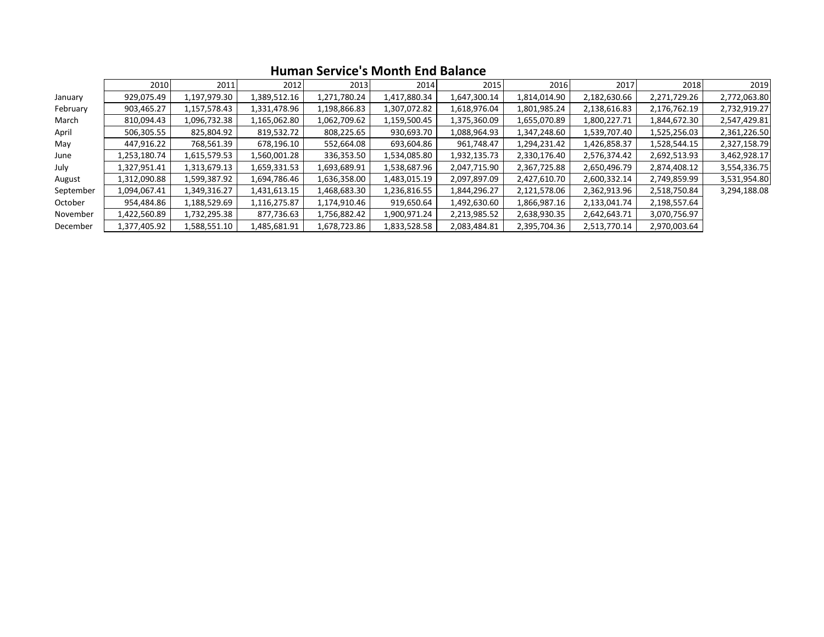|           | 2010         | 2011         | 2012         | 2013         | 2014         | 2015         | 2016         | 2017         | 2018         | 2019         |
|-----------|--------------|--------------|--------------|--------------|--------------|--------------|--------------|--------------|--------------|--------------|
| January   | 929,075.49   | 1,197,979.30 | 1,389,512.16 | 1,271,780.24 | 1,417,880.34 | 1,647,300.14 | 1,814,014.90 | 2,182,630.66 | 2,271,729.26 | 2,772,063.80 |
| February  | 903,465.27   | 1,157,578.43 | 1,331,478.96 | 1,198,866.83 | 1,307,072.82 | 1,618,976.04 | 1,801,985.24 | 2,138,616.83 | 2,176,762.19 | 2,732,919.27 |
| March     | 810,094.43   | 1,096,732.38 | 1,165,062.80 | 1,062,709.62 | 1,159,500.45 | 1,375,360.09 | 1,655,070.89 | 1,800,227.71 | 1,844,672.30 | 2,547,429.81 |
| April     | 506,305.55   | 825,804.92   | 819,532.72   | 808,225.65   | 930,693.70   | 1,088,964.93 | 1,347,248.60 | 1,539,707.40 | 1,525,256.03 | 2,361,226.50 |
| May       | 447,916.22   | 768,561.39   | 678,196.10   | 552,664.08   | 693,604.86   | 961,748.47   | 1,294,231.42 | 1,426,858.37 | 1,528,544.15 | 2,327,158.79 |
| June      | 1,253,180.74 | 1,615,579.53 | 1,560,001.28 | 336,353.50   | 1,534,085.80 | 1,932,135.73 | 2,330,176.40 | 2,576,374.42 | 2,692,513.93 | 3,462,928.17 |
| July      | 1,327,951.41 | 1,313,679.13 | 1,659,331.53 | 1,693,689.91 | 1,538,687.96 | 2,047,715.90 | 2,367,725.88 | 2,650,496.79 | 2,874,408.12 | 3,554,336.75 |
| August    | 1,312,090.88 | 1,599,387.92 | 1,694,786.46 | 1,636,358.00 | 1,483,015.19 | 2,097,897.09 | 2,427,610.70 | 2,600,332.14 | 2,749,859.99 | 3,531,954.80 |
| September | 1,094,067.41 | 1,349,316.27 | 1,431,613.15 | 1,468,683.30 | 1,236,816.55 | 1,844,296.27 | 2,121,578.06 | 2,362,913.96 | 2,518,750.84 | 3,294,188.08 |
| October   | 954,484.86   | 1,188,529.69 | 1,116,275.87 | 1,174,910.46 | 919,650.64   | 1,492,630.60 | 1,866,987.16 | 2,133,041.74 | 2,198,557.64 |              |
| November  | 1,422,560.89 | 1,732,295.38 | 877,736.63   | 1,756,882.42 | 1,900,971.24 | 2,213,985.52 | 2,638,930.35 | 2,642,643.71 | 3,070,756.97 |              |
| December  | 1,377,405.92 | 1,588,551.10 | 1,485,681.91 | 1,678,723.86 | 1,833,528.58 | 2,083,484.81 | 2,395,704.36 | 2,513,770.14 | 2,970,003.64 |              |

### **Human Service's Month End Balance**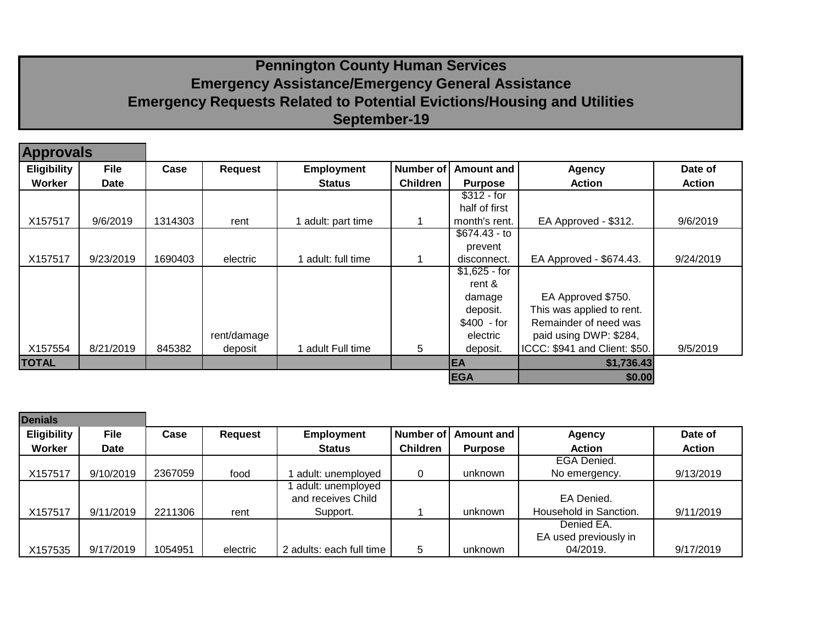# **Pennington County Human Services Emergency Assistance/Emergency General Assistance Emergency Requests Related to Potential Evictions/Housing and Utilities September-19**

| <b>Approvals</b>   |             |                        |             |                    |                  |                   |                               |               |
|--------------------|-------------|------------------------|-------------|--------------------|------------------|-------------------|-------------------------------|---------------|
| <b>Eligibility</b> | <b>File</b> | Case<br><b>Request</b> |             | <b>Employment</b>  | <b>Number of</b> | <b>Amount and</b> | <b>Agency</b>                 | Date of       |
| Worker             | <b>Date</b> |                        |             | <b>Status</b>      | <b>Children</b>  | <b>Purpose</b>    | <b>Action</b>                 | <b>Action</b> |
|                    |             |                        |             |                    |                  | $$312 - for$      |                               |               |
|                    |             |                        |             |                    |                  | half of first     |                               |               |
| X157517            | 9/6/2019    | 1314303                | rent        | l adult: part time |                  | month's rent.     | EA Approved - \$312.          | 9/6/2019      |
|                    |             |                        |             |                    |                  | $$674.43 - to$    |                               |               |
|                    |             |                        |             |                    |                  | prevent           |                               |               |
| X157517            | 9/23/2019   | 1690403                | electric    | 1 adult: full time |                  | disconnect.       | EA Approved - \$674.43.       | 9/24/2019     |
|                    |             |                        |             |                    |                  | $$1,625 - for$    |                               |               |
|                    |             |                        |             |                    |                  | rent $\&$         |                               |               |
|                    |             |                        |             |                    |                  | damage            | EA Approved \$750.            |               |
|                    |             |                        |             |                    |                  | deposit.          | This was applied to rent.     |               |
|                    |             |                        |             |                    |                  | \$400 - for       | Remainder of need was         |               |
|                    |             |                        | rent/damage |                    |                  | electric          | paid using DWP: \$284,        |               |
| X157554            | 8/21/2019   | 845382                 | deposit     | adult Full time    | 5                | deposit.          | ICCC: \$941 and Client: \$50. | 9/5/2019      |
| <b>TOTAL</b>       |             |                        |             |                    |                  | <b>EA</b>         | \$1,736.43                    |               |
|                    |             |                        |             |                    |                  | <b>EGA</b>        | \$0.00                        |               |

| <b>Denials</b>     |             |                        |          |                          |                  |                |                        |               |
|--------------------|-------------|------------------------|----------|--------------------------|------------------|----------------|------------------------|---------------|
| <b>Eligibility</b> | <b>File</b> | Case<br><b>Request</b> |          | <b>Employment</b>        | <b>Number of</b> | Amount and     | <b>Agency</b>          | Date of       |
| Worker             | <b>Date</b> |                        |          | <b>Status</b>            | <b>Children</b>  | <b>Purpose</b> | <b>Action</b>          | <b>Action</b> |
|                    |             |                        |          |                          |                  |                | EGA Denied.            |               |
| X157517            | 9/10/2019   | 2367059                | food     | adult: unemployed        |                  | unknown        | No emergency.          | 9/13/2019     |
|                    |             |                        |          | adult: unemployed        |                  |                |                        |               |
|                    |             |                        |          | and receives Child       |                  |                | EA Denied.             |               |
| X157517            | 9/11/2019   | 2211306                | rent     | Support.                 |                  | unknown        | Household in Sanction. | 9/11/2019     |
|                    |             |                        |          |                          |                  |                | Denied EA.             |               |
|                    |             |                        |          |                          |                  |                | EA used previously in  |               |
| X157535            | 9/17/2019   | 1054951                | electric | 2 adults: each full time | 5                | unknown        | 04/2019.               | 9/17/2019     |